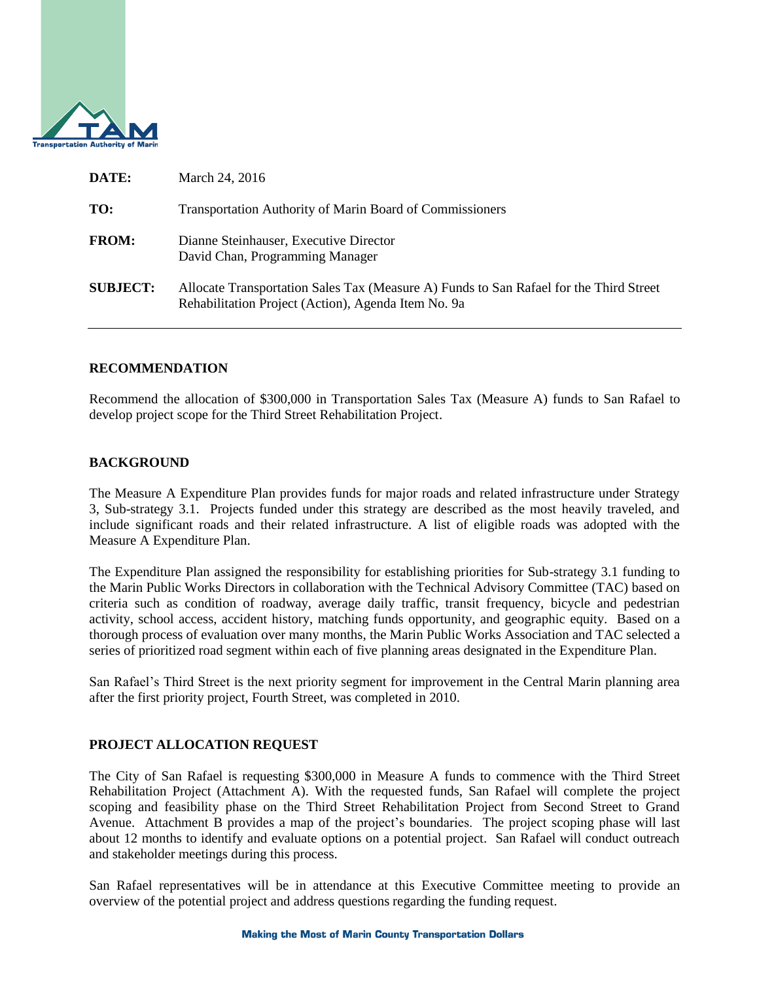

| DATE:           | March 24, 2016                                                                                                                                |
|-----------------|-----------------------------------------------------------------------------------------------------------------------------------------------|
| TO:             | <b>Transportation Authority of Marin Board of Commissioners</b>                                                                               |
| <b>FROM:</b>    | Dianne Steinhauser, Executive Director<br>David Chan, Programming Manager                                                                     |
| <b>SUBJECT:</b> | Allocate Transportation Sales Tax (Measure A) Funds to San Rafael for the Third Street<br>Rehabilitation Project (Action), Agenda Item No. 9a |

# **RECOMMENDATION**

Recommend the allocation of \$300,000 in Transportation Sales Tax (Measure A) funds to San Rafael to develop project scope for the Third Street Rehabilitation Project.

### **BACKGROUND**

The Measure A Expenditure Plan provides funds for major roads and related infrastructure under Strategy 3, Sub-strategy 3.1. Projects funded under this strategy are described as the most heavily traveled, and include significant roads and their related infrastructure. A list of eligible roads was adopted with the Measure A Expenditure Plan.

The Expenditure Plan assigned the responsibility for establishing priorities for Sub-strategy 3.1 funding to the Marin Public Works Directors in collaboration with the Technical Advisory Committee (TAC) based on criteria such as condition of roadway, average daily traffic, transit frequency, bicycle and pedestrian activity, school access, accident history, matching funds opportunity, and geographic equity. Based on a thorough process of evaluation over many months, the Marin Public Works Association and TAC selected a series of prioritized road segment within each of five planning areas designated in the Expenditure Plan.

San Rafael's Third Street is the next priority segment for improvement in the Central Marin planning area after the first priority project, Fourth Street, was completed in 2010.

#### **PROJECT ALLOCATION REQUEST**

The City of San Rafael is requesting \$300,000 in Measure A funds to commence with the Third Street Rehabilitation Project (Attachment A). With the requested funds, San Rafael will complete the project scoping and feasibility phase on the Third Street Rehabilitation Project from Second Street to Grand Avenue. Attachment B provides a map of the project's boundaries. The project scoping phase will last about 12 months to identify and evaluate options on a potential project. San Rafael will conduct outreach and stakeholder meetings during this process.

San Rafael representatives will be in attendance at this Executive Committee meeting to provide an overview of the potential project and address questions regarding the funding request.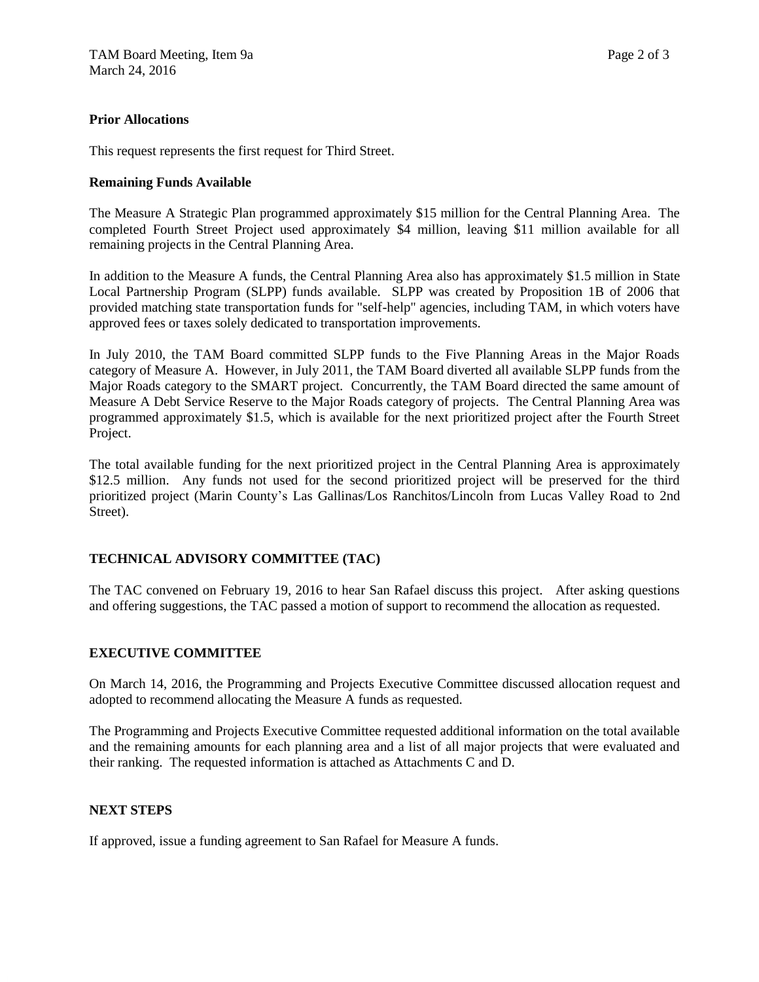### **Prior Allocations**

This request represents the first request for Third Street.

### **Remaining Funds Available**

The Measure A Strategic Plan programmed approximately \$15 million for the Central Planning Area. The completed Fourth Street Project used approximately \$4 million, leaving \$11 million available for all remaining projects in the Central Planning Area.

In addition to the Measure A funds, the Central Planning Area also has approximately \$1.5 million in State Local Partnership Program (SLPP) funds available. SLPP was created by Proposition 1B of 2006 that provided matching state transportation funds for "self-help" agencies, including TAM, in which voters have approved fees or taxes solely dedicated to transportation improvements.

In July 2010, the TAM Board committed SLPP funds to the Five Planning Areas in the Major Roads category of Measure A. However, in July 2011, the TAM Board diverted all available SLPP funds from the Major Roads category to the SMART project. Concurrently, the TAM Board directed the same amount of Measure A Debt Service Reserve to the Major Roads category of projects. The Central Planning Area was programmed approximately \$1.5, which is available for the next prioritized project after the Fourth Street Project.

The total available funding for the next prioritized project in the Central Planning Area is approximately \$12.5 million. Any funds not used for the second prioritized project will be preserved for the third prioritized project (Marin County's Las Gallinas/Los Ranchitos/Lincoln from Lucas Valley Road to 2nd Street).

# **TECHNICAL ADVISORY COMMITTEE (TAC)**

The TAC convened on February 19, 2016 to hear San Rafael discuss this project. After asking questions and offering suggestions, the TAC passed a motion of support to recommend the allocation as requested.

# **EXECUTIVE COMMITTEE**

On March 14, 2016, the Programming and Projects Executive Committee discussed allocation request and adopted to recommend allocating the Measure A funds as requested.

The Programming and Projects Executive Committee requested additional information on the total available and the remaining amounts for each planning area and a list of all major projects that were evaluated and their ranking. The requested information is attached as Attachments C and D.

#### **NEXT STEPS**

If approved, issue a funding agreement to San Rafael for Measure A funds.